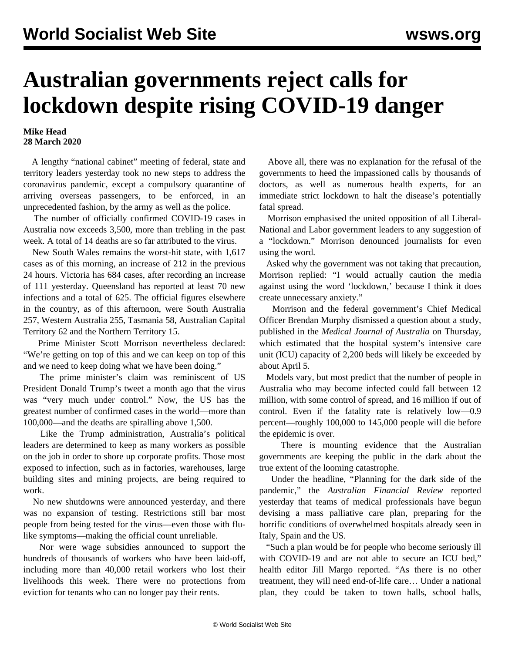## **Australian governments reject calls for lockdown despite rising COVID-19 danger**

## **Mike Head 28 March 2020**

 A lengthy "national cabinet" meeting of federal, state and territory leaders yesterday took no new steps to address the coronavirus pandemic, except a compulsory quarantine of arriving overseas passengers, to be enforced, in an unprecedented fashion, by the army as well as the police.

 The number of officially confirmed COVID-19 cases in Australia now exceeds 3,500, more than trebling in the past week. A total of 14 deaths are so far attributed to the virus.

 New South Wales remains the worst-hit state, with 1,617 cases as of this morning, an increase of 212 in the previous 24 hours. Victoria has 684 cases, after recording an increase of 111 yesterday. Queensland has reported at least 70 new infections and a total of 625. The official figures elsewhere in the country, as of this afternoon, were South Australia 257, Western Australia 255, Tasmania 58, Australian Capital Territory 62 and the Northern Territory 15.

 Prime Minister Scott Morrison nevertheless declared: "We're getting on top of this and we can keep on top of this and we need to keep doing what we have been doing."

 The prime minister's claim was reminiscent of US President Donald Trump's tweet a month ago that the virus was "very much under control." Now, the US has the greatest number of confirmed cases in the world—more than 100,000—and the deaths are spiralling above 1,500.

 Like the Trump administration, Australia's political leaders are determined to keep as many workers as possible on the job in order to shore up corporate profits. Those most exposed to infection, such as in factories, warehouses, large building sites and mining projects, are being required to work.

 No new shutdowns were announced yesterday, and there was no expansion of testing. Restrictions still bar most people from being tested for the virus—even those with flulike symptoms—making the official count unreliable.

 Nor were wage subsidies announced to support the hundreds of thousands of workers who have been laid-off, including more than 40,000 retail workers who lost their livelihoods this week. There were no protections from eviction for tenants who can no longer pay their rents.

 Above all, there was no explanation for the refusal of the governments to heed the impassioned calls by thousands of doctors, as well as numerous health experts, for an immediate strict lockdown to halt the disease's potentially fatal spread.

 Morrison emphasised the united opposition of all Liberal-National and Labor government leaders to any suggestion of a "lockdown." Morrison denounced journalists for even using the word.

 Asked why the government was not taking that precaution, Morrison replied: "I would actually caution the media against using the word 'lockdown,' because I think it does create unnecessary anxiety."

 Morrison and the federal government's Chief Medical Officer Brendan Murphy dismissed a question about a study, published in the *Medical Journal of Australia* on Thursday, which estimated that the hospital system's intensive care unit (ICU) capacity of 2,200 beds will likely be exceeded by about April 5.

 Models vary, but most predict that the number of people in Australia who may become infected could fall between 12 million, with some control of spread, and 16 million if out of control. Even if the fatality rate is relatively low—0.9 percent—roughly 100,000 to 145,000 people will die before the epidemic is over.

 There is mounting evidence that the Australian governments are keeping the public in the dark about the true extent of the looming catastrophe.

 Under the headline, "Planning for the dark side of the pandemic," the *Australian Financial Review* reported yesterday that teams of medical professionals have begun devising a mass palliative care plan, preparing for the horrific conditions of overwhelmed hospitals already seen in Italy, Spain and the US.

 "Such a plan would be for people who become seriously ill with COVID-19 and are not able to secure an ICU bed," health editor Jill Margo reported. "As there is no other treatment, they will need end-of-life care… Under a national plan, they could be taken to town halls, school halls,